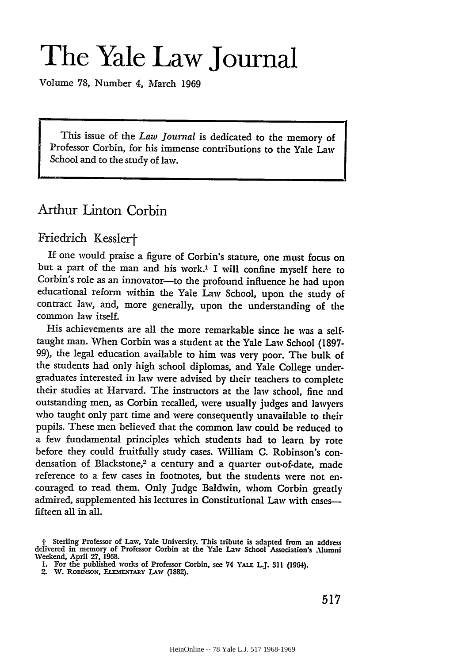## **The Yale Law Journal**

Volume **78,** Number 4, March 1969

This issue of the *Law Journal* is dedicated to the memory of Professor Corbin, for his immense contributions to the Yale Law School and to the study of law.

## Arthur Linton Corbin

## Friedrich Kessler<sup>+</sup>

If one would praise a figure of Corbin's stature, one must focus on but a part of the man and his work.' I will confine myself here to Corbin's role as an innovator-to the profound influence he had upon educational reform within the Yale Law School, upon the study of contract law, and, more generally, upon the understanding of the common law itself.

His achievements are all the more remarkable since he was a selftaught man. When Corbin was a student at the Yale Law School (1897- 99), the legal education available to him was very poor. The bulk of the students had only high school diplomas, and Yale College undergraduates interested in law were advised **by** their teachers to complete their studies at Harvard. The instructors at the law school, fine and outstanding men, as Corbin recalled, were usually judges and lawyers who taught only part time and were consequently unavailable to their pupils. These men believed that the common law could be reduced to a few fundamental principles which students had to learn by rote before they could fruitfully study cases. William **C.** Robinson's condensation of Blackstone,<sup>2</sup> a century and a quarter out-of-date, made reference to a few cases in footnotes, but the students were not encouraged to read them. Only Judge Baldwin, whom Corbin greatly admired, supplemented his lectures in Constitutional Law with casesfifteen all in all.

t sterling Professor of Law, Yale University. This tribute is adapted from an address delivered in memory of Professor Corbin at the Yale Law School Association's Alumni Weekend, April **27, 1968.**

<sup>1.</sup> For the published works of Professor Corbin, see 74 **YALE** L.J. **311** (1964).

<sup>2.</sup> W. ROBINSON, ELEMENTARY LAW (1882).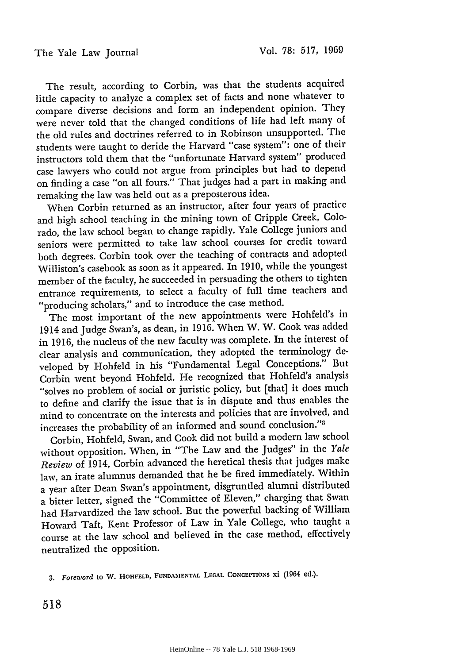The result, according to Corbin, was that the students acquired little capacity to analyze a complex set of facts and none whatever to compare diverse decisions and form an independent opinion. They were never told that the changed conditions of life had left many of the old rules and doctrines referred to in Robinson unsupported. The students were taught to deride the Harvard "case system": one of their instructors told them that the "unfortunate Harvard system" produced case lawyers who could not argue from principles but had to depend on finding a case "on all fours." That judges had a part in making and remaking the law was held out as a preposterous idea.

When Corbin returned as an instructor, after four years of practice and high school teaching in the mining town of Cripple Creek, Colorado, the law school began to change rapidly. Yale College juniors and seniors were permitted to take law school courses for credit toward both degrees. Corbin took over the teaching of contracts and adopted Williston's casebook as soon as it appeared. In 1910, while the youngest member of the faculty, he succeeded in persuading the others to tighten entrance requirements, to select a faculty of full time teachers and "producing scholars," and to introduce the case method.

The most important of the new appointments were Hohfeld's in 1914 and Judge Swan's, as dean, in 1916. When W. W. Cook was added in 1916, the nucleus of the new faculty was complete. In the interest of clear analysis and communication, they adopted the terminology developed by Hohfeld in his "Fundamental Legal Conceptions." But Corbin went beyond Hohfeld. He recognized that Hohfeld's analysis "solves no problem of social or juristic policy, but [that] it does much to define and clarify the issue that is in dispute and thus enables the mind to concentrate on the interests and policies that are involved, and increases the probability of an informed and sound conclusion."<sup>3</sup>

Corbin, Hohfeld, Swan, and Cook did not build a modern law school without opposition. When, in "The Law and the Judges" in the *Yale Review* of 1914, Corbin advanced the heretical thesis that judges make law, an irate alumnus demanded that he be fired immediately. Within a year after Dean Swan's appointment, disgruntled alumni distributed a bitter letter, signed the "Committee of Eleven," charging that Swan had Harvardized the law school. But the powerful backing of William Howard Taft, Kent Professor of Law in Yale College, who taught a course at the law school and believed in the case method, effectively neutralized the opposition.

*<sup>3.</sup> Foreword* **to** W. **HOHFELD, FUNDAMENTAL LEGAL CONCEPTIONS** Xi (1964 ed.).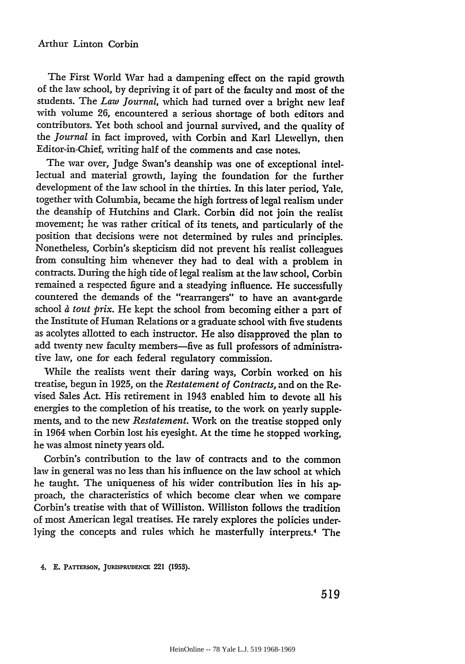The First World War had a dampening effect on the rapid growth of the law school, by depriving it of part of the faculty and most of the students. The *Law Journal,* which had turned over a bright new leaf with volume 26, encountered a serious shortage of both editors and contributors. Yet both school and journal survived, and the quality of the *Journal* in fact improved, with Corbin and Karl Llewellyn, then Editor-in-Chief, writing half of the comments and case notes.

The war over, Judge Swan's deanship was one of exceptional intellectual and material growth, laying the foundation for the further development of the law school in the thirties. In this later period, Yale, together with Columbia, became the high fortress of legal realism under the deanship of Hutchins and Clark. Corbin did not join the realist movement; he was rather critical of its tenets, and particularly of the position that decisions were not determined by rules and principles. Nonetheless, Corbin's skepticism did not prevent his realist colleagues from consulting him whenever they had to deal with a problem in contracts. During the high tide of legal realism at the law school, Corbin remained a respected figure and a steadying influence. He successfully countered the demands of the "rearrangers" to have an avant-garde school *à tout prix*. He kept the school from becoming either a part of the Institute of Human Relations or a graduate school with five students as acolytes allotted to each instructor. He also disapproved the plan to add twenty new faculty members-five as full professors of administrative law, one for each federal regulatory commission.

While the realists went their daring ways, Corbin worked on his treatise, begun in 1925, on the *Restatement of Contracts,* and on the Revised Sales Act. His retirement in 1943 enabled him to devote all his energies to the completion of his treatise, to the work on yearly supplements, and to the new *Restatement.* Work on the treatise stopped only in 1964 when Corbin lost his eyesight. At the time he stopped working, he was almost ninety years old.

Corbin's contribution to the law of contracts and to the common law in general was no less than his influence on the law school at which he taught. The uniqueness of his wider contribution lies in his approach, the characteristics of which become clear when we compare Corbin's treatise with that of Williston. Williston follows the tradition of most American legal treatises. He rarely explores the policies underlying the concepts and rules which he masterfully interprets.4 The

4. E. PATTERSON, JURISPRUDENCE 221 (1953).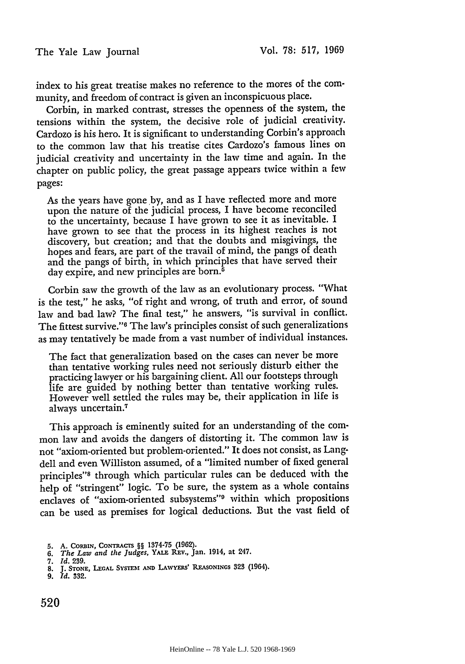index to his great treatise makes no reference to the mores of the community, and freedom of contract is given an inconspicuous place.

Corbin, in marked contrast, stresses the openness of the system, the tensions within the system, the decisive role of judicial creativity. Cardozo is his hero. It is significant to understanding Corbin's approach to the common law that his treatise cites Cardozo's famous lines on judicial creativity and uncertainty in the law time and again. In the chapter on public policy, the great passage appears twice within a few pages:

As the years have gone by, and as I have reflected more and more upon the nature of the judicial process, I have become reconciled to the uncertainty, because I have grown to see it as inevitable. I have grown to see that the process in its highest reaches is not discovery, but creation; and that the doubts and misgivings, the hopes and fears, are part of the travail of mind, the pangs of death and the pangs of birth, in which principles that have served their day expire, and new principles are born.

Corbin saw the growth of the law as an evolutionary process. "What is the test," he asks, "of right and wrong, of truth and error, of sound law and bad law? The final test," he answers, "is survival in conflict. The fittest survive."6 The law's principles consist of such generalizations as may tentatively be made from a vast number of individual instances.

The fact that generalization based on the cases can never be more than tentative working rules need not seriously disturb either the practicing lawyer or his bargaining client. All our footsteps through life are guided by nothing better than tentative working rules. However well settled the rules may be, their application in life is always uncertain. <sup>7</sup>

This approach is eminently suited for an understanding of the common law and avoids the dangers of distorting it. The common law is not "axiom-oriented but problem-oriented." It does not consist, as Langdell and even Williston assumed, of a "limited number of fixed general principles"<sup>8</sup> through which particular rules can be deduced with the help of "stringent" logic. To be sure, the system as a whole contains enclaves of "axiom-oriented subsystems"9 within which propositions can be used as premises for logical deductions. But the vast field of

**5. A. CORBIN, CONTRACTS** §§ **1374-75 (1962). 6.** *The Law and the Judges,* **YALE** *Rv.,* Jan. 1914, at 247. **7.** *Id.* **239.**

**<sup>8.</sup> J. STONE, LEGAL SYSTEMI AND LAwYERS' REASONINGS 323 (1964). 9.** *Id.* **332.**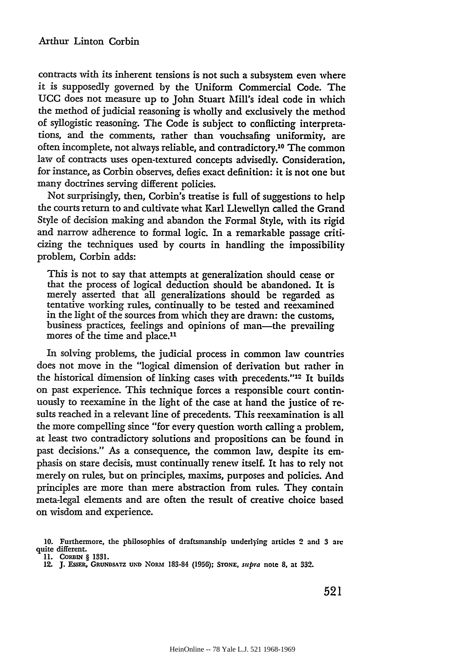contracts with its inherent tensions is not such a subsystem even where it is supposedly governed by the Uniform Commercial Code. The **UCC** does not measure up to John Stuart Mill's ideal code in which the method of judicial reasoning is wholly and exclusively the method of syllogistic reasoning. The Code is subject to conflicting interpretations, and the comments, rather than vouchsafing uniformity, are often incomplete, not always reliable, and contradictory.10 The common law of contracts uses open-textured concepts advisedly. Consideration, for instance, as Corbin observes, defies exact definition: it is not one but many doctrines serving different policies.

Not surprisingly, then, Corbin's treatise is full of suggestions to help the courts return to and cultivate what Karl Llewellyn called the Grand Style of decision making and abandon the Formal Style, with its rigid and narrow adherence to formal logic. In a remarkable passage criticizing the techniques used by courts in handling the impossibility problem, Corbin adds:

This is not to say that attempts at generalization should cease or that the process of logical deduction should be abandoned. It is merely asserted that all generalizations should be regarded as tentative working rules, continually to be tested and reexamined in the light of the sources from which they are drawn: the customs, business practices, feelings and opinions of man—the prevailing mores of the time and place.<sup>11</sup>

In solving problems, the judicial process in common law countries does not move in the "logical dimension of derivation but rather in the historical dimension of linking cases with precedents."12 It builds on past experience. This technique forces a responsible court continuously to reexamine in the light of the case at hand the justice of results reached in a relevant line of precedents. This reexamination is all the more compelling since "for every question worth calling a problem, at least two contradictory solutions and propositions can be found in past decisions." As a consequence, the common law, despite its emphasis on stare decisis, must continually renew itself. It has to rely not merely on rules, but on principles, maxims, purposes and policies. And principles are more than mere abstraction from rules. They contain meta-legal elements and are often the result of creative choice based on wisdom and experience.

**<sup>10.</sup>** Furthermore, the philosophies of draftsmanship underlying articles 2 and **3 arc** quite different.

<sup>11.</sup> *COMsN* § 1331. **12. J.** EssER, **GRUNDSAirz UND NORM** 183-84 **(1956); STONE. supra** note **8,** at **332.**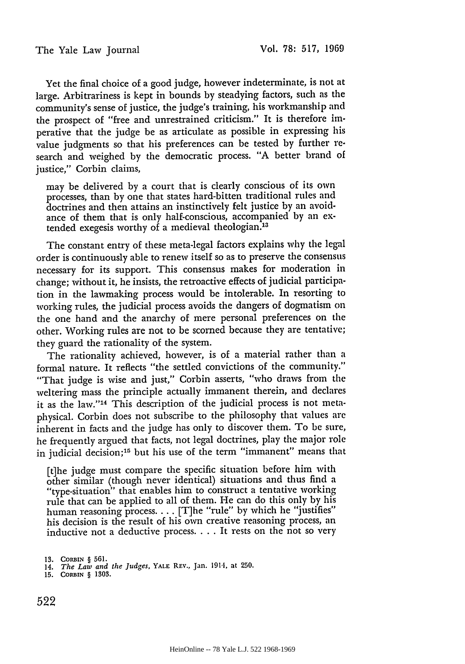Yet the final choice of a good judge, however indeterminate, is not at large. Arbitrariness is kept in bounds by steadying factors, such as the community's sense of justice, the judge's training, his workmanship and the prospect of "free and unrestrained criticism." It is therefore imperative that the judge be as articulate as possible in expressing his value judgments so that his preferences can be tested by further research and weighed by the democratic process. "A better brand of justice," Corbin claims,

may be delivered by a court that is clearly conscious of its own processes, than by one that states hard-bitten traditional rules and doctrines and then attains an instinctively felt justice by an avoidance of them that is only half-conscious, accompanied by an extended exegesis worthy of a medieval theologian.13

The constant entry of these meta-legal factors explains why the legal order is continuously able to renew itself so as to preserve the consensus necessary for its support. This consensus makes for moderation in change; without it, he insists, the retroactive effects of judicial participation in the lawmaking process would be intolerable. In resorting to working rules, the judicial process avoids the dangers of dogmatism on the one hand and the anarchy of mere personal preferences on the other. Working rules are not to be scorned because they are tentative; they guard the rationality of the system.

The rationality achieved, however, is of a material rather than a formal nature. It reflects "the settled convictions of the community." "That judge is wise and just," Corbin asserts, "who draws from the weltering mass the principle actually immanent therein, and declares it as the law."<sup>14</sup> This description of the judicial process is not metaphysical. Corbin does not subscribe to the philosophy that values are inherent in facts and the judge has only to discover them. To be sure, he frequently argued that facts, not legal doctrines, play the major role in judicial decision;<sup>15</sup> but his use of the term "immanent" means that

[t]he judge must compare the specific situation before him with other similar (though never identical) situations and thus find a "type-situation" that enables him to construct a tentative working rule that can be applied to all of them. He can do this only by his human reasoning process **....** [T]he "rule" **by** which he "justifies" his decision is the result of his own creative reasoning process, an inductive not a deductive process **....** It rests on the not so very

**<sup>13.</sup>** CORBIN § **561.** 14. *The Law and the Judges,* YALE **REV.,** Jan. 1914, at 250. **15. CORBIN** § **1303.**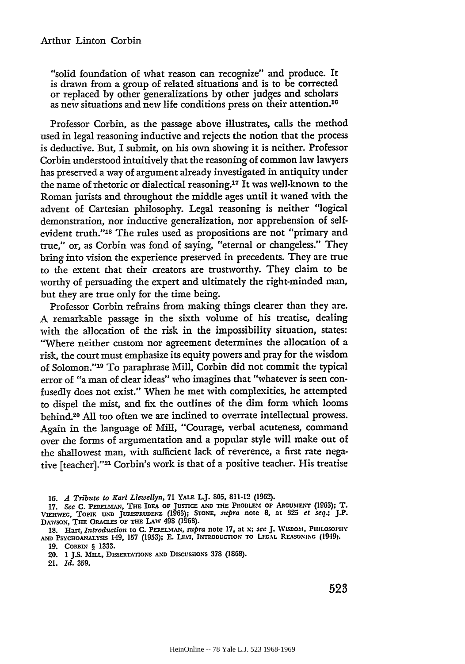"solid foundation of what reason can recognize" and produce. It is drawn from a group of related situations and is to be corrected or replaced by other generalizations by other judges and scholars as new situations and new life conditions press on their attention."0

Professor Corbin, as the passage above illustrates, calls the method used in legal reasoning inductive and rejects the notion that the process is deductive. But, I submit, on his own showing it is neither. Professor Corbin understood intuitively that the reasoning of common law lawyers has preserved a way of argument already investigated in antiquity under the name of rhetoric or dialectical reasoning.17 It was well-known to the Roman jurists and throughout the middle ages until it waned with the advent of Cartesian philosophy. Legal reasoning is neither "logical demonstration, nor inductive generalization, nor apprehension of selfevident truth."<sup>18</sup> The rules used as propositions are not "primary and true," or, as Corbin was fond of saying, "eternal or changeless." They bring into vision the experience preserved in precedents. They are true to the extent that their creators are trustworthy. They claim to be worthy of persuading the expert and ultimately the right-minded man, but they are true only for the time being.

Professor Corbin refrains from making things clearer than they are. A remarkable passage in the sixth volume of his treatise, dealing with the allocation of the risk in the impossibility situation, states: "Where neither custom nor agreement determines the allocation of a risk, the court must emphasize its equity powers and pray for the wisdom of Solomon."'19 To paraphrase Mill, Corbin did not commit the typical error of "a man of dear ideas" who imagines that "whatever is seen confusedly does not exist." When he met with complexities, he attempted to dispel the mist, and fix the outlines of the dim form which looms behind.20 All too often we are inclined to overrate intellectual prowess. Again in the language of Mill, "Courage, verbal acuteness, command over the forms of argumentation and a popular style will make out of the shallowest man, with sufficient lack of reverence, a first rate negative [teacher]."<sup>21</sup> Corbin's work is that of a positive teacher. His treatise

21. *Id.* **359.**

**<sup>16.</sup>** *A Tribute to Karl Llewellyn,* **71 YALE LJ. 805, 811-12** (1962.

<sup>17.</sup> See C. PERELMAN, THE IDEA OF JUSTICE AND THE PROBLEM OF ARGUMENT (1963); T. VIEHWEG, TOPIK UND JURISPRUDENZ (1963); STONE, supra note 8, at 325 et seq.; J.P. DAWSON, THE ORACLES OF THE LAW 498 (1968).

<sup>18.</sup> Hart, *Introduction to C. PERELMAN, supra note 17, at x; see J. WISDOM. PHILOSOPHY* AND PSYCHOANALYSIS 149, 157 (1953); E. LEVI, INTRODUCTION TO LEGAL REASONING (1949).

**<sup>19.</sup> CORBIN** § 1333.

<sup>20. 1</sup> **JS. MiLL, DISSERTATIONS AND DSCUSSIONS 378 (1868).**